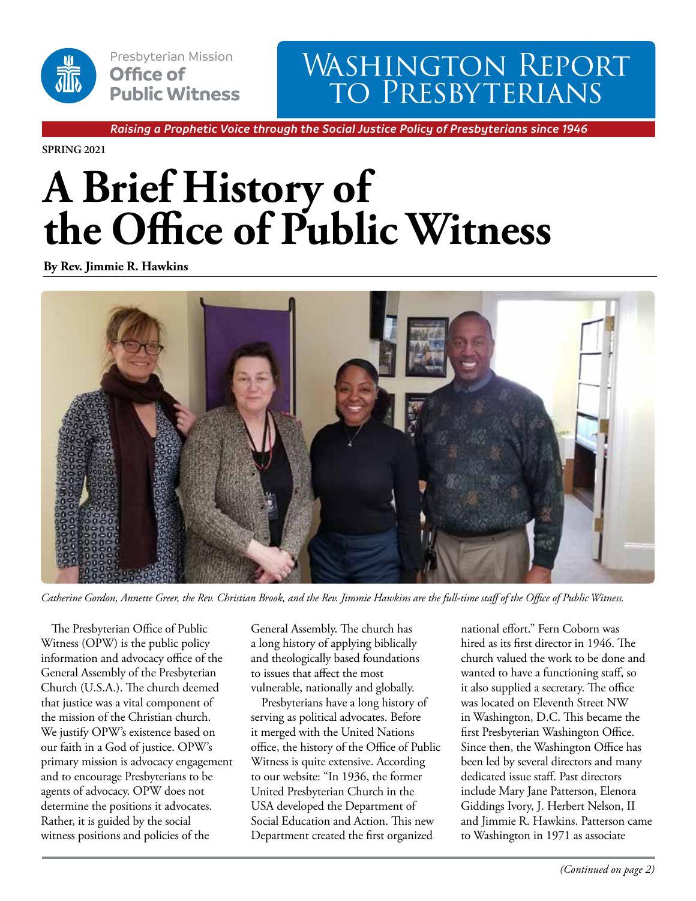

### WASHINGTON REPORT to Presbyterians

*Raising a Prophetic Voice through the Social Justice Policy of Presbyterians since 1946*

**SPRING 2021**

# **A Brief History of the Office of Public Witness**

**By Rev. Jimmie R. Hawkins**



*Catherine Gordon, Annette Greer, the Rev. Christian Brook, and the Rev. Jimmie Hawkins are the full-time staff of the Office of Public Witness.*

The Presbyterian Office of Public Witness (OPW) is the public policy information and advocacy office of the General Assembly of the Presbyterian Church (U.S.A.). The church deemed that justice was a vital component of the mission of the Christian church. We justify OPW's existence based on our faith in a God of justice. OPW's primary mission is advocacy engagement and to encourage Presbyterians to be agents of advocacy. OPW does not determine the positions it advocates. Rather, it is guided by the social witness positions and policies of the

General Assembly. The church has a long history of applying biblically and theologically based foundations to issues that affect the most vulnerable, nationally and globally.

Presbyterians have a long history of serving as political advocates. Before it merged with the United Nations office, the history of the Office of Public Witness is quite extensive. According to our website: "In 1936, the former United Presbyterian Church in the USA developed the Department of Social Education and Action. This new Department created the first organized

national effort." Fern Coborn was hired as its first director in 1946. The church valued the work to be done and wanted to have a functioning staff, so it also supplied a secretary. The office was located on Eleventh Street NW in Washington, D.C. This became the first Presbyterian Washington Office. Since then, the Washington Office has been led by several directors and many dedicated issue staff. Past directors include Mary Jane Patterson, Elenora Giddings Ivory, J. Herbert Nelson, II and Jimmie R. Hawkins. Patterson came to Washington in 1971 as associate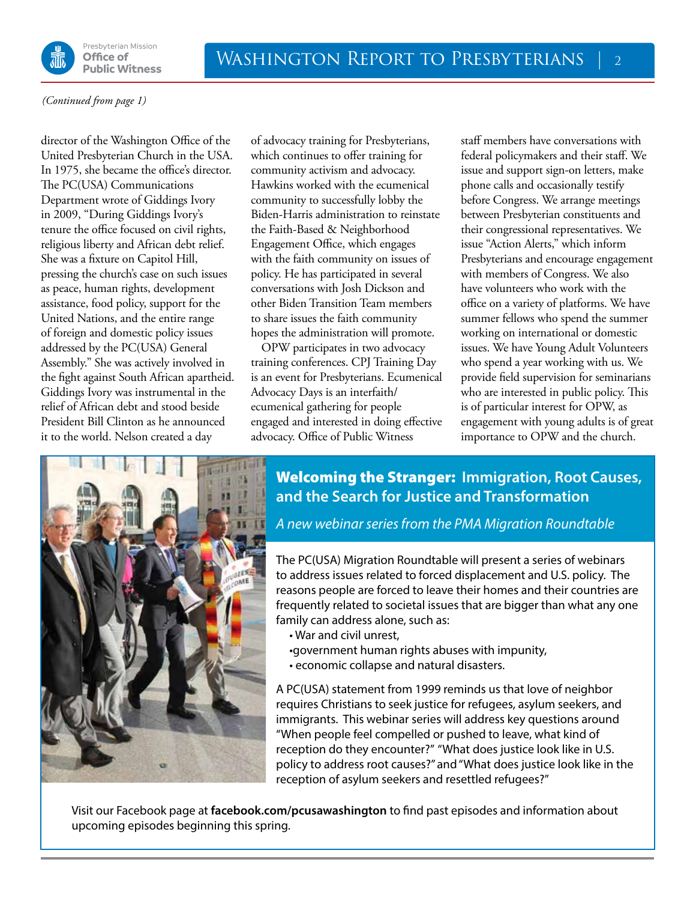

#### *(Continued from page 1)*

director of the Washington Office of the United Presbyterian Church in the USA. In 1975, she became the office's director. The PC(USA) Communications Department wrote of Giddings Ivory in 2009, "During Giddings Ivory's tenure the office focused on civil rights, religious liberty and African debt relief. She was a fixture on Capitol Hill, pressing the church's case on such issues as peace, human rights, development assistance, food policy, support for the United Nations, and the entire range of foreign and domestic policy issues addressed by the PC(USA) General Assembly." She was actively involved in the fight against South African apartheid. Giddings Ivory was instrumental in the relief of African debt and stood beside President Bill Clinton as he announced it to the world. Nelson created a day

of advocacy training for Presbyterians, which continues to offer training for community activism and advocacy. Hawkins worked with the ecumenical community to successfully lobby the Biden-Harris administration to reinstate the Faith-Based & Neighborhood Engagement Office, which engages with the faith community on issues of policy. He has participated in several conversations with Josh Dickson and other Biden Transition Team members to share issues the faith community hopes the administration will promote.

OPW participates in two advocacy training conferences. CPJ Training Day is an event for Presbyterians. Ecumenical Advocacy Days is an interfaith/ ecumenical gathering for people engaged and interested in doing effective advocacy. Office of Public Witness

staff members have conversations with federal policymakers and their staff. We issue and support sign-on letters, make phone calls and occasionally testify before Congress. We arrange meetings between Presbyterian constituents and their congressional representatives. We issue "Action Alerts," which inform Presbyterians and encourage engagement with members of Congress. We also have volunteers who work with the office on a variety of platforms. We have summer fellows who spend the summer working on international or domestic issues. We have Young Adult Volunteers who spend a year working with us. We provide field supervision for seminarians who are interested in public policy. This is of particular interest for OPW, as engagement with young adults is of great importance to OPW and the church.



Welcoming the Stranger: **Immigration, Root Causes, and the Search for Justice and Transformation**

*A new webinar series from the PMA Migration Roundtable*

The PC(USA) Migration Roundtable will present a series of webinars to address issues related to forced displacement and U.S. policy. The reasons people are forced to leave their homes and their countries are frequently related to societal issues that are bigger than what any one family can address alone, such as:

- War and civil unrest,
- •government human rights abuses with impunity,
- economic collapse and natural disasters.

A PC(USA) statement from 1999 reminds us that love of neighbor requires Christians to seek justice for refugees, asylum seekers, and immigrants. This webinar series will address key questions around "When people feel compelled or pushed to leave, what kind of reception do they encounter?" "What does justice look like in U.S. policy to address root causes?" and "What does justice look like in the reception of asylum seekers and resettled refugees?"

Visit our Facebook page at **facebook.com/pcusawashington** to find past episodes and information about upcoming episodes beginning this spring.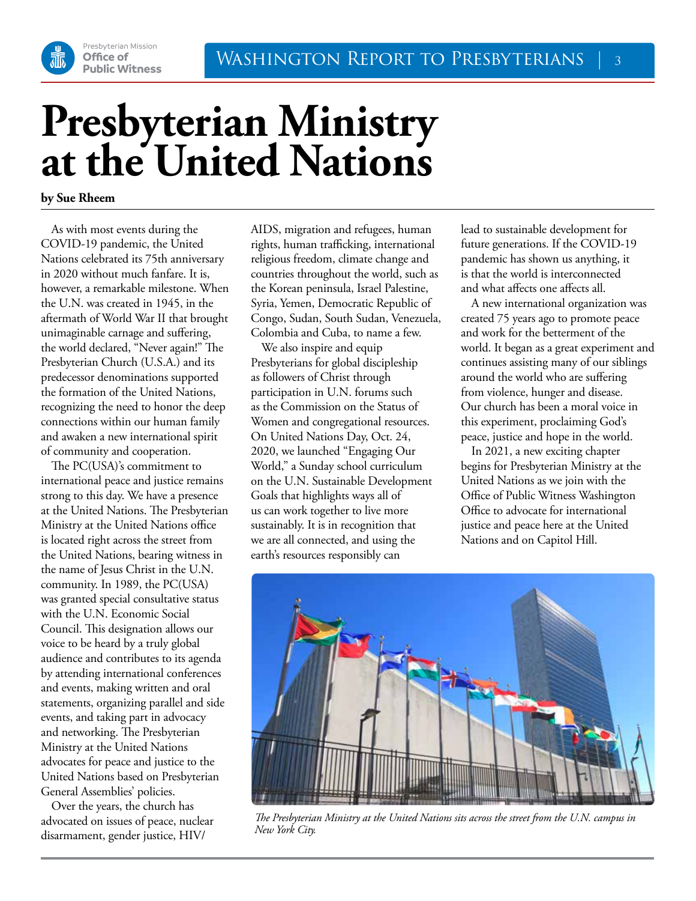

### **Presbyterian Ministry at the United Nations**

**by Sue Rheem**

As with most events during the COVID-19 pandemic, the United Nations celebrated its 75th anniversary in 2020 without much fanfare. It is, however, a remarkable milestone. When the U.N. was created in 1945, in the aftermath of World War II that brought unimaginable carnage and suffering, the world declared, "Never again!" The Presbyterian Church (U.S.A.) and its predecessor denominations supported the formation of the United Nations, recognizing the need to honor the deep connections within our human family and awaken a new international spirit of community and cooperation.

The PC(USA)'s commitment to international peace and justice remains strong to this day. We have a presence at the United Nations. The Presbyterian Ministry at the United Nations office is located right across the street from the United Nations, bearing witness in the name of Jesus Christ in the U.N. community. In 1989, the PC(USA) was granted special consultative status with the U.N. Economic Social Council. This designation allows our voice to be heard by a truly global audience and contributes to its agenda by attending international conferences and events, making written and oral statements, organizing parallel and side events, and taking part in advocacy and networking. The Presbyterian Ministry at the United Nations advocates for peace and justice to the United Nations based on Presbyterian General Assemblies' policies.

Over the years, the church has advocated on issues of peace, nuclear disarmament, gender justice, HIV/

AIDS, migration and refugees, human rights, human trafficking, international religious freedom, climate change and countries throughout the world, such as the Korean peninsula, Israel Palestine, Syria, Yemen, Democratic Republic of Congo, Sudan, South Sudan, Venezuela, Colombia and Cuba, to name a few.

We also inspire and equip Presbyterians for global discipleship as followers of Christ through participation in U.N. forums such as the Commission on the Status of Women and congregational resources. On United Nations Day, Oct. 24, 2020, we launched "Engaging Our World," a Sunday school curriculum on the U.N. Sustainable Development Goals that highlights ways all of us can work together to live more sustainably. It is in recognition that we are all connected, and using the earth's resources responsibly can

lead to sustainable development for future generations. If the COVID-19 pandemic has shown us anything, it is that the world is interconnected and what affects one affects all.

A new international organization was created 75 years ago to promote peace and work for the betterment of the world. It began as a great experiment and continues assisting many of our siblings around the world who are suffering from violence, hunger and disease. Our church has been a moral voice in this experiment, proclaiming God's peace, justice and hope in the world.

In 2021, a new exciting chapter begins for Presbyterian Ministry at the United Nations as we join with the Office of Public Witness Washington Office to advocate for international justice and peace here at the United Nations and on Capitol Hill.



*The Presbyterian Ministry at the United Nations sits across the street from the U.N. campus in New York City.*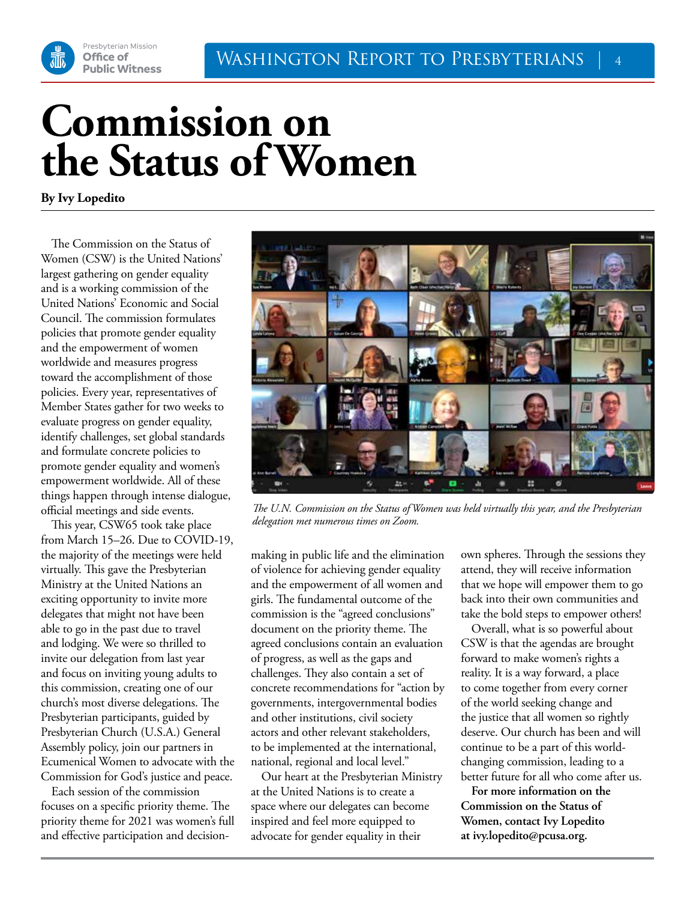

### **Commission on the Status of Women**

**By Ivy Lopedito**

The Commission on the Status of Women (CSW) is the United Nations' largest gathering on gender equality and is a working commission of the United Nations' Economic and Social Council. The commission formulates policies that promote gender equality and the empowerment of women worldwide and measures progress toward the accomplishment of those policies. Every year, representatives of Member States gather for two weeks to evaluate progress on gender equality, identify challenges, set global standards and formulate concrete policies to promote gender equality and women's empowerment worldwide. All of these things happen through intense dialogue, official meetings and side events.

This year, CSW65 took take place from March 15–26. Due to COVID-19, the majority of the meetings were held virtually. This gave the Presbyterian Ministry at the United Nations an exciting opportunity to invite more delegates that might not have been able to go in the past due to travel and lodging. We were so thrilled to invite our delegation from last year and focus on inviting young adults to this commission, creating one of our church's most diverse delegations. The Presbyterian participants, guided by Presbyterian Church (U.S.A.) General Assembly policy, join our partners in Ecumenical Women to advocate with the Commission for God's justice and peace.

Each session of the commission focuses on a specific priority theme. The priority theme for 2021 was women's full and effective participation and decision-



*The U.N. Commission on the Status of Women was held virtually this year, and the Presbyterian delegation met numerous times on Zoom.*

making in public life and the elimination of violence for achieving gender equality and the empowerment of all women and girls. The fundamental outcome of the commission is the "agreed conclusions" document on the priority theme. The agreed conclusions contain an evaluation of progress, as well as the gaps and challenges. They also contain a set of concrete recommendations for "action by governments, intergovernmental bodies and other institutions, civil society actors and other relevant stakeholders, to be implemented at the international, national, regional and local level."

Our heart at the Presbyterian Ministry at the United Nations is to create a space where our delegates can become inspired and feel more equipped to advocate for gender equality in their

own spheres. Through the sessions they attend, they will receive information that we hope will empower them to go back into their own communities and take the bold steps to empower others!

Overall, what is so powerful about CSW is that the agendas are brought forward to make women's rights a reality. It is a way forward, a place to come together from every corner of the world seeking change and the justice that all women so rightly deserve. Our church has been and will continue to be a part of this worldchanging commission, leading to a better future for all who come after us.

**For more information on the Commission on the Status of Women, contact Ivy Lopedito at ivy.lopedito@pcusa.org.**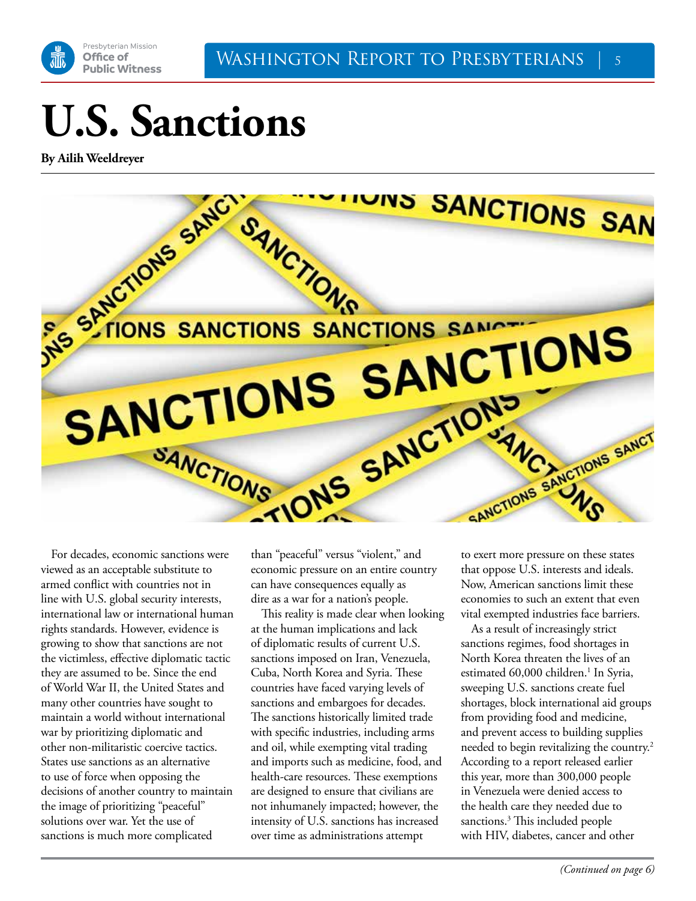

## **U.S. Sanctions**



For decades, economic sanctions were viewed as an acceptable substitute to armed conflict with countries not in line with U.S. global security interests, international law or international human rights standards. However, evidence is growing to show that sanctions are not the victimless, effective diplomatic tactic they are assumed to be. Since the end of World War II, the United States and many other countries have sought to maintain a world without international war by prioritizing diplomatic and other non-militaristic coercive tactics. States use sanctions as an alternative to use of force when opposing the decisions of another country to maintain the image of prioritizing "peaceful" solutions over war. Yet the use of sanctions is much more complicated

than "peaceful" versus "violent," and economic pressure on an entire country can have consequences equally as dire as a war for a nation's people.

This reality is made clear when looking at the human implications and lack of diplomatic results of current U.S. sanctions imposed on Iran, Venezuela, Cuba, North Korea and Syria. These countries have faced varying levels of sanctions and embargoes for decades. The sanctions historically limited trade with specific industries, including arms and oil, while exempting vital trading and imports such as medicine, food, and health-care resources. These exemptions are designed to ensure that civilians are not inhumanely impacted; however, the intensity of U.S. sanctions has increased over time as administrations attempt

to exert more pressure on these states that oppose U.S. interests and ideals. Now, American sanctions limit these economies to such an extent that even vital exempted industries face barriers.

As a result of increasingly strict sanctions regimes, food shortages in North Korea threaten the lives of an estimated 60,000 children.<sup>1</sup> In Syria, sweeping U.S. sanctions create fuel shortages, block international aid groups from providing food and medicine, and prevent access to building supplies needed to begin revitalizing the country.<sup>2</sup> According to a report released earlier this year, more than 300,000 people in Venezuela were denied access to the health care they needed due to sanctions.3 This included people with HIV, diabetes, cancer and other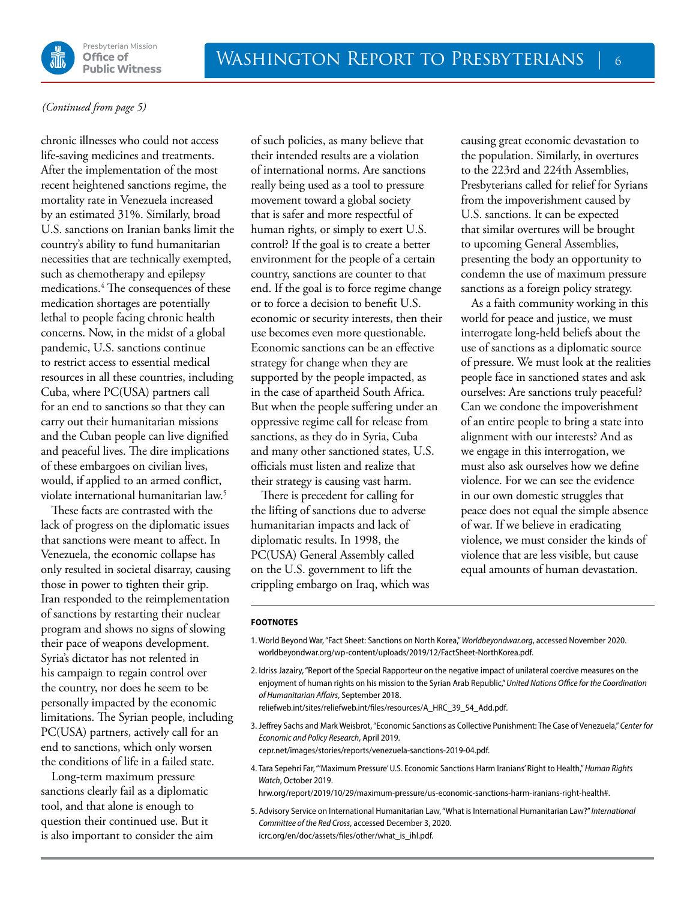

#### *(Continued from page 5)*

chronic illnesses who could not access life-saving medicines and treatments. After the implementation of the most recent heightened sanctions regime, the mortality rate in Venezuela increased by an estimated 31%. Similarly, broad U.S. sanctions on Iranian banks limit the country's ability to fund humanitarian necessities that are technically exempted, such as chemotherapy and epilepsy medications.4 The consequences of these medication shortages are potentially lethal to people facing chronic health concerns. Now, in the midst of a global pandemic, U.S. sanctions continue to restrict access to essential medical resources in all these countries, including Cuba, where PC(USA) partners call for an end to sanctions so that they can carry out their humanitarian missions and the Cuban people can live dignified and peaceful lives. The dire implications of these embargoes on civilian lives, would, if applied to an armed conflict, violate international humanitarian law.<sup>5</sup>

These facts are contrasted with the lack of progress on the diplomatic issues that sanctions were meant to affect. In Venezuela, the economic collapse has only resulted in societal disarray, causing those in power to tighten their grip. Iran responded to the reimplementation of sanctions by restarting their nuclear program and shows no signs of slowing their pace of weapons development. Syria's dictator has not relented in his campaign to regain control over the country, nor does he seem to be personally impacted by the economic limitations. The Syrian people, including PC(USA) partners, actively call for an end to sanctions, which only worsen the conditions of life in a failed state.

Long-term maximum pressure sanctions clearly fail as a diplomatic tool, and that alone is enough to question their continued use. But it is also important to consider the aim of such policies, as many believe that their intended results are a violation of international norms. Are sanctions really being used as a tool to pressure movement toward a global society that is safer and more respectful of human rights, or simply to exert U.S. control? If the goal is to create a better environment for the people of a certain country, sanctions are counter to that end. If the goal is to force regime change or to force a decision to benefit U.S. economic or security interests, then their use becomes even more questionable. Economic sanctions can be an effective strategy for change when they are supported by the people impacted, as in the case of apartheid South Africa. But when the people suffering under an oppressive regime call for release from sanctions, as they do in Syria, Cuba and many other sanctioned states, U.S. officials must listen and realize that their strategy is causing vast harm.

There is precedent for calling for the lifting of sanctions due to adverse humanitarian impacts and lack of diplomatic results. In 1998, the PC(USA) General Assembly called on the U.S. government to lift the crippling embargo on Iraq, which was causing great economic devastation to the population. Similarly, in overtures to the 223rd and 224th Assemblies, Presbyterians called for relief for Syrians from the impoverishment caused by U.S. sanctions. It can be expected that similar overtures will be brought to upcoming General Assemblies, presenting the body an opportunity to condemn the use of maximum pressure sanctions as a foreign policy strategy.

As a faith community working in this world for peace and justice, we must interrogate long-held beliefs about the use of sanctions as a diplomatic source of pressure. We must look at the realities people face in sanctioned states and ask ourselves: Are sanctions truly peaceful? Can we condone the impoverishment of an entire people to bring a state into alignment with our interests? And as we engage in this interrogation, we must also ask ourselves how we define violence. For we can see the evidence in our own domestic struggles that peace does not equal the simple absence of war. If we believe in eradicating violence, we must consider the kinds of violence that are less visible, but cause equal amounts of human devastation.

#### **FOOTNOTES**

- 1. World Beyond War, "Fact Sheet: Sanctions on North Korea," *Worldbeyondwar.org*, accessed November 2020. worldbeyondwar.org/wp-content/uploads/2019/12/FactSheet-NorthKorea.pdf.
- 2. Idriss Jazairy, "Report of the Special Rapporteur on the negative impact of unilateral coercive measures on the enjoyment of human rights on his mission to the Syrian Arab Republic," *United Nations Office for the Coordination of Humanitarian Affairs*, September 2018. reliefweb.int/sites/reliefweb.int/files/resources/A\_HRC\_39\_54\_Add.pdf.
- 3. Jeffrey Sachs and Mark Weisbrot, "Economic Sanctions as Collective Punishment: The Case of Venezuela," *Center for Economic and Policy Research*, April 2019.
- cepr.net/images/stories/reports/venezuela-sanctions-2019-04.pdf.
- 4. Tara Sepehri Far, "'Maximum Pressure' U.S. Economic Sanctions Harm Iranians' Right to Health," *Human Rights Watch*, October 2019.
- hrw.org/report/2019/10/29/maximum-pressure/us-economic-sanctions-harm-iranians-right-health#.
- 5. Advisory Service on International Humanitarian Law, "What is International Humanitarian Law?" *International Committee of the Red Cross*, accessed December 3, 2020. icrc.org/en/doc/assets/files/other/what\_is\_ihl.pdf.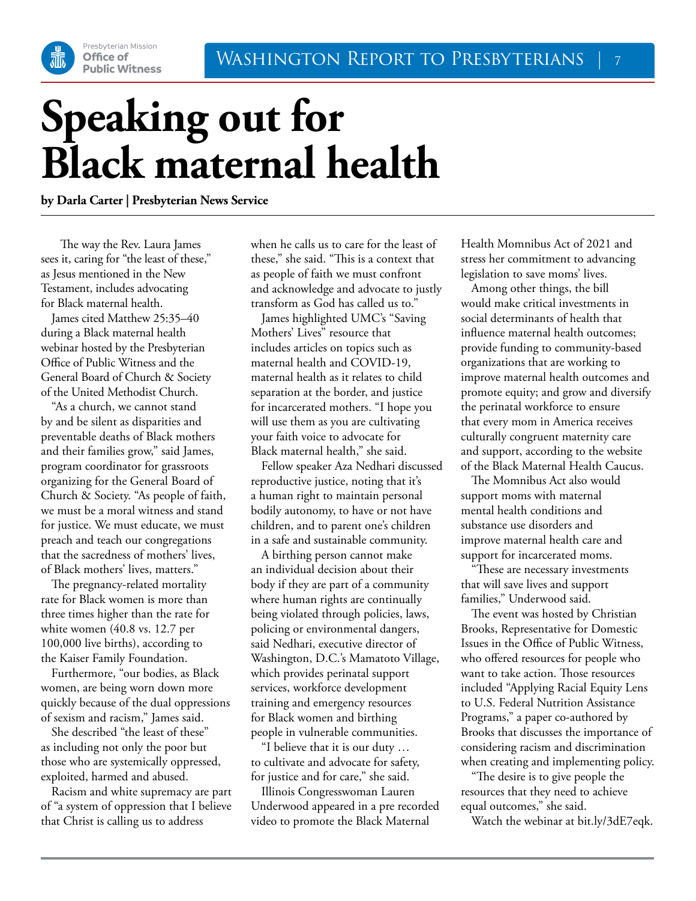

# **Speaking out for Black maternal health**

**by Darla Carter | Presbyterian News Service**

 The way the Rev. Laura James sees it, caring for "the least of these," as Jesus mentioned in the New Testament, includes advocating for Black maternal health.

James cited Matthew 25:35–40 during a Black maternal health webinar hosted by the Presbyterian Office of Public Witness and the General Board of Church & Society of the United Methodist Church.

"As a church, we cannot stand by and be silent as disparities and preventable deaths of Black mothers and their families grow," said James, program coordinator for grassroots organizing for the General Board of Church & Society. "As people of faith, we must be a moral witness and stand for justice. We must educate, we must preach and teach our congregations that the sacredness of mothers' lives, of Black mothers' lives, matters."

The pregnancy-related mortality rate for Black women is more than three times higher than the rate for white women (40.8 vs. 12.7 per 100,000 live births), according to the Kaiser Family Foundation.

Furthermore, "our bodies, as Black women, are being worn down more quickly because of the dual oppressions of sexism and racism," James said.

She described "the least of these" as including not only the poor but those who are systemically oppressed, exploited, harmed and abused.

Racism and white supremacy are part of "a system of oppression that I believe that Christ is calling us to address

when he calls us to care for the least of these," she said. "This is a context that as people of faith we must confront and acknowledge and advocate to justly transform as God has called us to."

James highlighted UMC's "Saving Mothers' Lives" resource that includes articles on topics such as maternal health and COVID-19, maternal health as it relates to child separation at the border, and justice for incarcerated mothers. "I hope you will use them as you are cultivating your faith voice to advocate for Black maternal health," she said.

Fellow speaker Aza Nedhari discussed reproductive justice, noting that it's a human right to maintain personal bodily autonomy, to have or not have children, and to parent one's children in a safe and sustainable community.

A birthing person cannot make an individual decision about their body if they are part of a community where human rights are continually being violated through policies, laws, policing or environmental dangers, said Nedhari, executive director of Washington, D.C.'s Mamatoto Village, which provides perinatal support services, workforce development training and emergency resources for Black women and birthing people in vulnerable communities.

"I believe that it is our duty … to cultivate and advocate for safety, for justice and for care," she said.

Illinois Congresswoman Lauren Underwood appeared in a pre recorded video to promote the Black Maternal

Health Momnibus Act of 2021 and stress her commitment to advancing legislation to save moms' lives.

Among other things, the bill would make critical investments in social determinants of health that influence maternal health outcomes; provide funding to community-based organizations that are working to improve maternal health outcomes and promote equity; and grow and diversify the perinatal workforce to ensure that every mom in America receives culturally congruent maternity care and support, according to the website of the Black Maternal Health Caucus.

The Momnibus Act also would support moms with maternal mental health conditions and substance use disorders and improve maternal health care and support for incarcerated moms.

"These are necessary investments that will save lives and support families," Underwood said.

The event was hosted by Christian Brooks, Representative for Domestic Issues in the Office of Public Witness, who offered resources for people who want to take action. Those resources included "Applying Racial Equity Lens to U.S. Federal Nutrition Assistance Programs," a paper co-authored by Brooks that discusses the importance of considering racism and discrimination when creating and implementing policy.

"The desire is to give people the resources that they need to achieve equal outcomes," she said.

Watch the webinar at bit.ly/3dE7eqk.